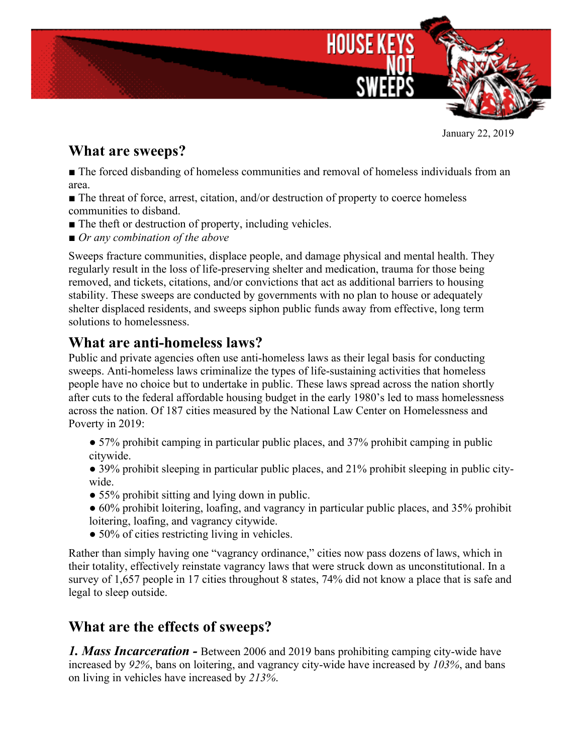

January 22, 2019

## **What are sweeps?**

■ The forced disbanding of homeless communities and removal of homeless individuals from an area.

■ The threat of force, arrest, citation, and/or destruction of property to coerce homeless communities to disband.

- The theft or destruction of property, including vehicles.
- *Or any combination of the above*

Sweeps fracture communities, displace people, and damage physical and mental health. They regularly result in the loss of life-preserving shelter and medication, trauma for those being removed, and tickets, citations, and/or convictions that act as additional barriers to housing stability. These sweeps are conducted by governments with no plan to house or adequately shelter displaced residents, and sweeps siphon public funds away from effective, long term solutions to homelessness.

## **What are anti-homeless laws?**

Public and private agencies often use anti-homeless laws as their legal basis for conducting sweeps. Anti-homeless laws criminalize the types of life-sustaining activities that homeless people have no choice but to undertake in public. These laws spread across the nation shortly after cuts to the federal affordable housing budget in the early 1980's led to mass homelessness across the nation. Of 187 cities measured by the National Law Center on Homelessness and Poverty in 2019:

- 57% prohibit camping in particular public places, and 37% prohibit camping in public citywide.
- 39% prohibit sleeping in particular public places, and 21% prohibit sleeping in public citywide.
- 55% prohibit sitting and lying down in public.
- 60% prohibit loitering, loafing, and vagrancy in particular public places, and 35% prohibit loitering, loafing, and vagrancy citywide.
- 50% of cities restricting living in vehicles.

Rather than simply having one "vagrancy ordinance," cities now pass dozens of laws, which in their totality, effectively reinstate vagrancy laws that were struck down as unconstitutional. In a survey of 1,657 people in 17 cities throughout 8 states, 74% did not know a place that is safe and legal to sleep outside.

## **What are the effects of sweeps?**

*1. Mass Incarceration -* Between 2006 and 2019 bans prohibiting camping city-wide have increased by *92%*, bans on loitering, and vagrancy city-wide have increased by *103%*, and bans on living in vehicles have increased by *213%*.